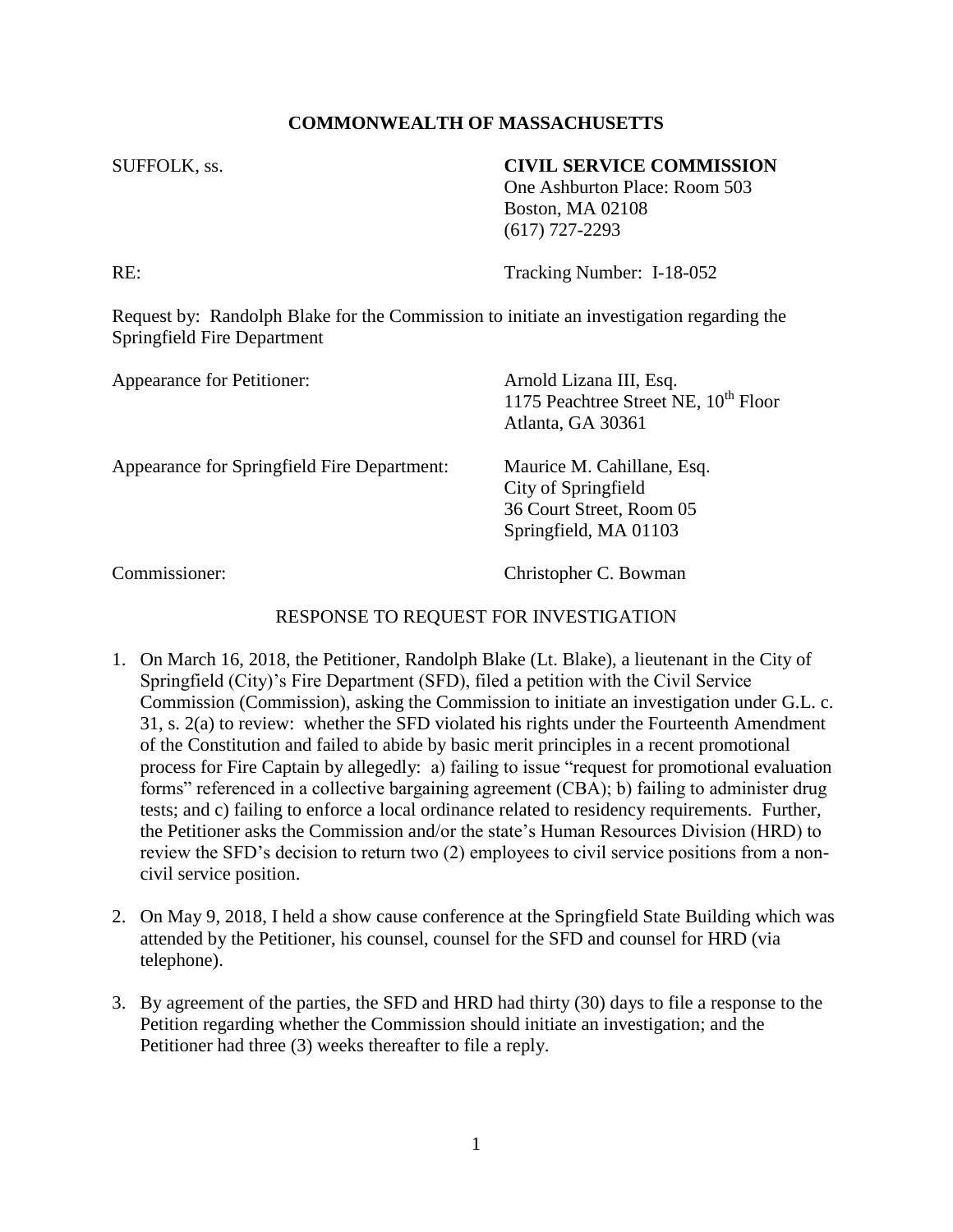## **COMMONWEALTH OF MASSACHUSETTS**

## SUFFOLK, ss. **CIVIL SERVICE COMMISSION**

One Ashburton Place: Room 503 Boston, MA 02108 (617) 727-2293

RE: Tracking Number: I-18-052

Request by: Randolph Blake for the Commission to initiate an investigation regarding the Springfield Fire Department

| Appearance for Petitioner:                         | Arnold Lizana III, Esq.<br>1175 Peachtree Street NE, 10 <sup>th</sup> Floor<br>Atlanta, GA 30361       |
|----------------------------------------------------|--------------------------------------------------------------------------------------------------------|
| <b>Appearance for Springfield Fire Department:</b> | Maurice M. Cahillane, Esq.<br>City of Springfield<br>36 Court Street, Room 05<br>Springfield, MA 01103 |
| $\sim$                                             | $\alpha$ $\alpha$ $\alpha$                                                                             |

Commissioner: Christopher C. Bowman

## RESPONSE TO REQUEST FOR INVESTIGATION

- 1. On March 16, 2018, the Petitioner, Randolph Blake (Lt. Blake), a lieutenant in the City of Springfield (City)'s Fire Department (SFD), filed a petition with the Civil Service Commission (Commission), asking the Commission to initiate an investigation under G.L. c. 31, s. 2(a) to review: whether the SFD violated his rights under the Fourteenth Amendment of the Constitution and failed to abide by basic merit principles in a recent promotional process for Fire Captain by allegedly: a) failing to issue "request for promotional evaluation forms" referenced in a collective bargaining agreement (CBA); b) failing to administer drug tests; and c) failing to enforce a local ordinance related to residency requirements. Further, the Petitioner asks the Commission and/or the state's Human Resources Division (HRD) to review the SFD's decision to return two (2) employees to civil service positions from a noncivil service position.
- 2. On May 9, 2018, I held a show cause conference at the Springfield State Building which was attended by the Petitioner, his counsel, counsel for the SFD and counsel for HRD (via telephone).
- 3. By agreement of the parties, the SFD and HRD had thirty (30) days to file a response to the Petition regarding whether the Commission should initiate an investigation; and the Petitioner had three (3) weeks thereafter to file a reply.